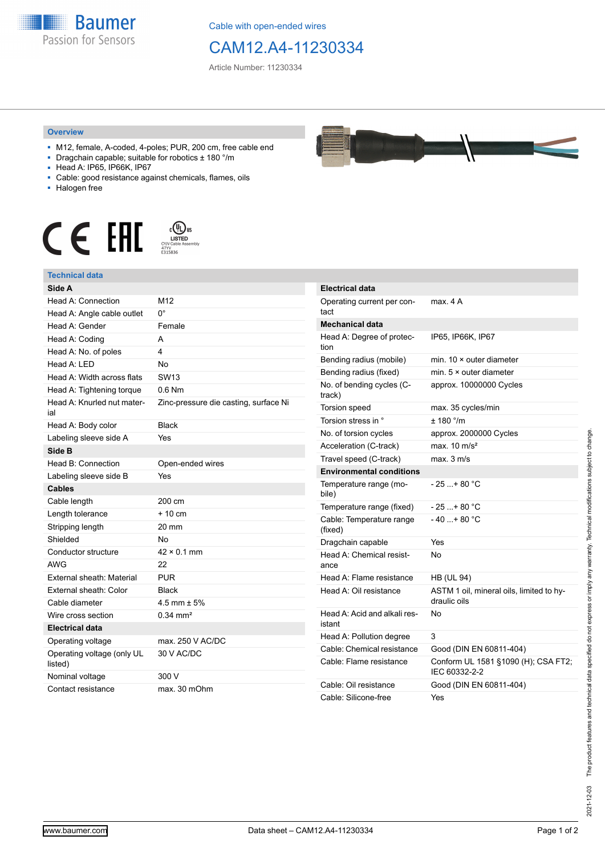

Cable with open-ended wires

## CAM12.A4-11230334

Article Number: 11230334

## **Overview**

- M12, female, A-coded, 4-poles; PUR, 200 cm, free cable end
- Dragchain capable; suitable for robotics ± 180 °/m
- Head A: IP65, IP66K, IP67
- Cable: good resistance against chemicals, flames, oils
- Halogen free



## **Technical data**

| Side A                                |                                       |
|---------------------------------------|---------------------------------------|
| Head A: Connection                    | M <sub>12</sub>                       |
| Head A: Angle cable outlet            | 0°                                    |
| Head A: Gender                        | Female                                |
| Head A: Coding                        | А                                     |
| Head A: No. of poles                  | 4                                     |
| Head A: LED                           | No                                    |
| Head A: Width across flats            | <b>SW13</b>                           |
| Head A: Tightening torque             | $0.6$ Nm                              |
| Head A: Knurled nut mater-<br>ial     | Zinc-pressure die casting, surface Ni |
| Head A: Body color                    | <b>Black</b>                          |
| Labeling sleeve side A                | Yes                                   |
| Side B                                |                                       |
| Head B: Connection                    | Open-ended wires                      |
| Labeling sleeve side B                | Yes                                   |
| <b>Cables</b>                         |                                       |
| Cable length                          | 200 cm                                |
| Length tolerance                      | $+10$ cm                              |
| Stripping length                      | 20 mm                                 |
| Shielded                              | No                                    |
| Conductor structure                   | $42 \times 0.1$ mm                    |
| <b>AWG</b>                            | 22                                    |
| External sheath: Material             | <b>PUR</b>                            |
| External sheath: Color                | <b>Black</b>                          |
| Cable diameter                        | 4.5 mm $\pm$ 5%                       |
| Wire cross section                    | $0.34 \, \text{mm}^2$                 |
| <b>Electrical data</b>                |                                       |
| Operating voltage                     | max. 250 V AC/DC                      |
| Operating voltage (only UL<br>listed) | 30 V AC/DC                            |
| Nominal voltage                       | 300 V                                 |
| Contact resistance                    | max. 30 mOhm                          |



| <b>Electrical data</b>                 |                                                          |
|----------------------------------------|----------------------------------------------------------|
| Operating current per con-<br>tact     | max. 4 A                                                 |
| Mechanical data                        |                                                          |
| Head A: Degree of protec-<br>tion      | IP65, IP66K, IP67                                        |
| Bending radius (mobile)                | min. $10 \times$ outer diameter                          |
| Bending radius (fixed)                 | min. $5 \times$ outer diameter                           |
| No. of bending cycles (C-<br>track)    | approx. 10000000 Cycles                                  |
| <b>Torsion speed</b>                   | max. 35 cycles/min                                       |
| Torsion stress in °                    | ± 180 °/m                                                |
| No. of torsion cycles                  | approx. 2000000 Cycles                                   |
| Acceleration (C-track)                 | max $10 \text{ m/s}^2$                                   |
| Travel speed (C-track)                 | max. 3 m/s                                               |
| <b>Environmental conditions</b>        |                                                          |
| Temperature range (mo-<br>bile)        | $-25+80 °C$                                              |
| Temperature range (fixed)              | $-25+80 °C$                                              |
| Cable: Temperature range<br>(fixed)    | $-40+80 °C$                                              |
| Dragchain capable                      | Yes                                                      |
| Head A: Chemical resist-<br>ance       | No                                                       |
| Head A: Flame resistance               | HB (UL 94)                                               |
| Head A: Oil resistance                 | ASTM 1 oil, mineral oils, limited to hy-<br>draulic oils |
| Head A: Acid and alkali res-<br>istant | No                                                       |
| Head A: Pollution degree               | 3                                                        |
| Cable: Chemical resistance             | Good (DIN EN 60811-404)                                  |
| Cable: Flame resistance                | Conform UL 1581 §1090 (H); CSA FT2;<br>IEC 60332-2-2     |
| Cable: Oil resistance                  | Good (DIN EN 60811-404)                                  |
| Cable: Silicone-free                   | Yes                                                      |